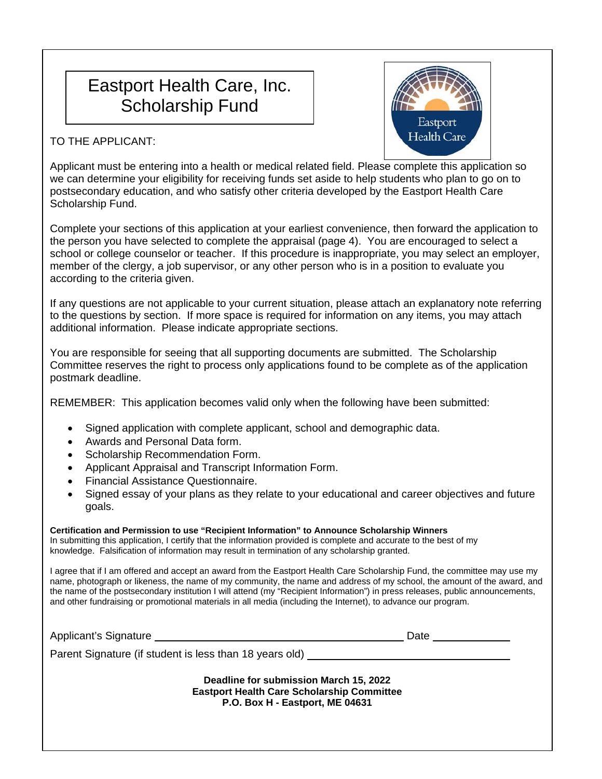# Eastport Health Care, Inc. Scholarship Fund



TO THE APPLICANT:

Applicant must be entering into a health or medical related field. Please complete this application so we can determine your eligibility for receiving funds set aside to help students who plan to go on to postsecondary education, and who satisfy other criteria developed by the Eastport Health Care Scholarship Fund.

Complete your sections of this application at your earliest convenience, then forward the application to the person you have selected to complete the appraisal (page 4). You are encouraged to select a school or college counselor or teacher. If this procedure is inappropriate, you may select an employer, member of the clergy, a job supervisor, or any other person who is in a position to evaluate you according to the criteria given.

If any questions are not applicable to your current situation, please attach an explanatory note referring to the questions by section. If more space is required for information on any items, you may attach additional information. Please indicate appropriate sections.

You are responsible for seeing that all supporting documents are submitted. The Scholarship Committee reserves the right to process only applications found to be complete as of the application postmark deadline.

REMEMBER: This application becomes valid only when the following have been submitted:

- Signed application with complete applicant, school and demographic data.
- Awards and Personal Data form.
- Scholarship Recommendation Form.
- Applicant Appraisal and Transcript Information Form.
- Financial Assistance Questionnaire.
- Signed essay of your plans as they relate to your educational and career objectives and future goals.

## **Certification and Permission to use "Recipient Information" to Announce Scholarship Winners**

In submitting this application, I certify that the information provided is complete and accurate to the best of my knowledge. Falsification of information may result in termination of any scholarship granted.

I agree that if I am offered and accept an award from the Eastport Health Care Scholarship Fund, the committee may use my name, photograph or likeness, the name of my community, the name and address of my school, the amount of the award, and the name of the postsecondary institution I will attend (my "Recipient Information") in press releases, public announcements, and other fundraising or promotional materials in all media (including the Internet), to advance our program.

| Applicant's Signature                                                                                                          | Date |
|--------------------------------------------------------------------------------------------------------------------------------|------|
| Parent Signature (if student is less than 18 years old) ________________________                                               |      |
| Deadline for submission March 15, 2022<br><b>Eastport Health Care Scholarship Committee</b><br>P.O. Box H - Eastport, ME 04631 |      |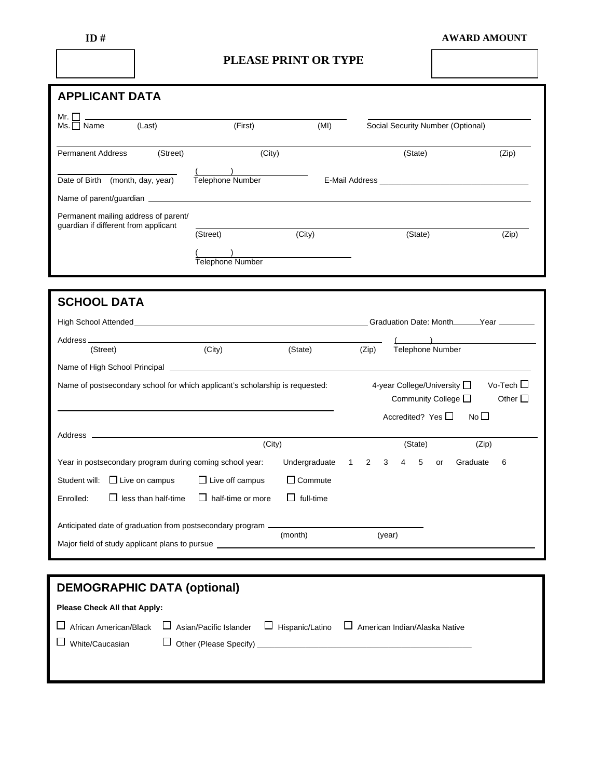|--|--|

### **AWARD AMOUNT**

## **PLEASE PRINT OR TYPE**

| <b>APPLICANT DATA</b>                                                        |                          |                  |                     |                                   |                                          |
|------------------------------------------------------------------------------|--------------------------|------------------|---------------------|-----------------------------------|------------------------------------------|
| Mr. $\Box$<br>(Last)<br>$Ms.$ Name                                           | (First)                  | (MI)             |                     | Social Security Number (Optional) |                                          |
|                                                                              |                          |                  |                     |                                   |                                          |
| <b>Permanent Address</b><br>(Street)                                         | (City)                   |                  |                     | (State)                           | (Zip)                                    |
|                                                                              |                          |                  |                     |                                   |                                          |
| Date of Birth (month, day, year)                                             | Telephone Number         |                  |                     |                                   |                                          |
|                                                                              |                          |                  |                     |                                   |                                          |
| Permanent mailing address of parent/<br>guardian if different from applicant |                          |                  |                     |                                   |                                          |
|                                                                              | (Street)                 | (City)           |                     | (State)                           | (Zip)                                    |
|                                                                              |                          |                  |                     |                                   |                                          |
|                                                                              | Telephone Number         |                  |                     |                                   |                                          |
|                                                                              |                          |                  |                     |                                   |                                          |
| <b>SCHOOL DATA</b>                                                           |                          |                  |                     |                                   |                                          |
|                                                                              |                          |                  |                     |                                   | Graduation Date: Month______Year _______ |
|                                                                              |                          |                  |                     |                                   |                                          |
| Address <sub>-</sub><br>(Street)                                             | (City)                   | (State)          | (Zip)               | <b>Telephone Number</b>           |                                          |
|                                                                              |                          |                  |                     |                                   |                                          |
| Name of postsecondary school for which applicant's scholarship is requested: |                          |                  |                     | 4-year College/University □       | Vo-Tech $\Box$                           |
|                                                                              |                          |                  |                     | Community College $\Box$          | Other $\square$                          |
|                                                                              |                          |                  |                     | Accredited? Yes $\Box$            | No <sub>1</sub>                          |
|                                                                              |                          |                  |                     |                                   |                                          |
|                                                                              | (City)                   |                  |                     | (State)                           | (Zip)                                    |
| Year in postsecondary program during coming school year:                     |                          | Undergraduate    | $\overline{2}$<br>1 | 4<br>5<br>3<br>or                 | Graduate<br>6                            |
| Student will: □ Live on campus                                               | $\Box$ Live off campus   | $\Box$ Commute   |                     |                                   |                                          |
| $\Box$ less than half-time<br>Enrolled:                                      | $\Box$ half-time or more | $\Box$ full-time |                     |                                   |                                          |
| Anticipated date of graduation from postsecondary program -                  |                          |                  |                     |                                   |                                          |
|                                                                              |                          | (month)          |                     | (year)                            |                                          |
| Major field of study applicant plans to pursue                               |                          |                  |                     |                                   |                                          |
|                                                                              |                          |                  |                     |                                   |                                          |

| <b>DEMOGRAPHIC DATA (optional)</b>  |  |                                                                                           |
|-------------------------------------|--|-------------------------------------------------------------------------------------------|
| <b>Please Check All that Apply:</b> |  |                                                                                           |
| African American/Black              |  | $\Box$ Asian/Pacific Islander $\Box$ Hispanic/Latino $\Box$ American Indian/Alaska Native |
| White/Caucasian                     |  |                                                                                           |
|                                     |  |                                                                                           |
|                                     |  |                                                                                           |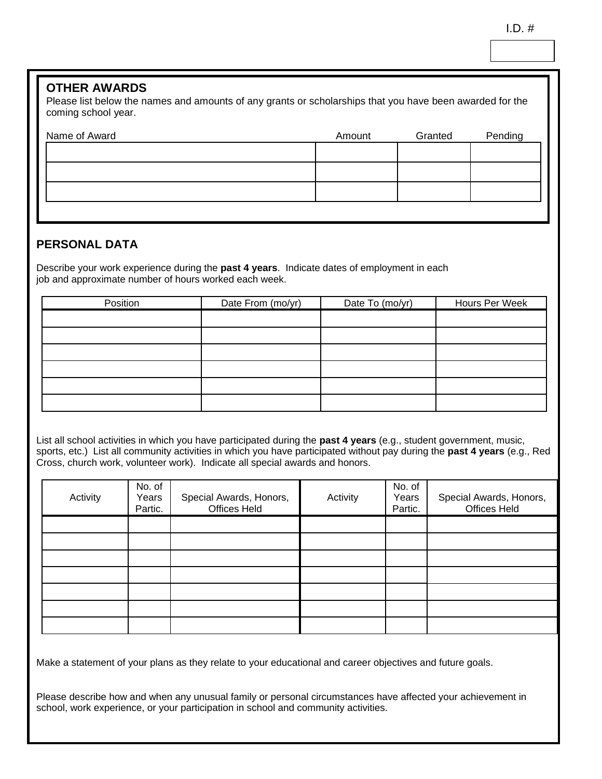## **OTHER AWARDS**

Please list below the names and amounts of any grants or scholarships that you have been awarded for the coming school year.

| Name of Award | Amount | Granted | Pending |
|---------------|--------|---------|---------|
|               |        |         |         |
|               |        |         |         |
|               |        |         |         |
|               |        |         |         |

## **PERSONAL DATA**

Describe your work experience during the **past 4 years**. Indicate dates of employment in each job and approximate number of hours worked each week.

| Position | Date From (mo/yr) | Date To (mo/yr) | Hours Per Week |
|----------|-------------------|-----------------|----------------|
|          |                   |                 |                |
|          |                   |                 |                |
|          |                   |                 |                |
|          |                   |                 |                |
|          |                   |                 |                |
|          |                   |                 |                |

List all school activities in which you have participated during the **past 4 years** (e.g., student government, music, sports, etc.) List all community activities in which you have participated without pay during the **past 4 years** (e.g., Red Cross, church work, volunteer work). Indicate all special awards and honors.

| Activity | No. of<br>Years<br>Partic. | Special Awards, Honors,<br>Offices Held | Activity | No. of<br>Years<br>Partic. | Special Awards, Honors,<br>Offices Held |
|----------|----------------------------|-----------------------------------------|----------|----------------------------|-----------------------------------------|
|          |                            |                                         |          |                            |                                         |
|          |                            |                                         |          |                            |                                         |
|          |                            |                                         |          |                            |                                         |
|          |                            |                                         |          |                            |                                         |
|          |                            |                                         |          |                            |                                         |
|          |                            |                                         |          |                            |                                         |
|          |                            |                                         |          |                            |                                         |

Make a statement of your plans as they relate to your educational and career objectives and future goals.

Please describe how and when any unusual family or personal circumstances have affected your achievement in school, work experience, or your participation in school and community activities.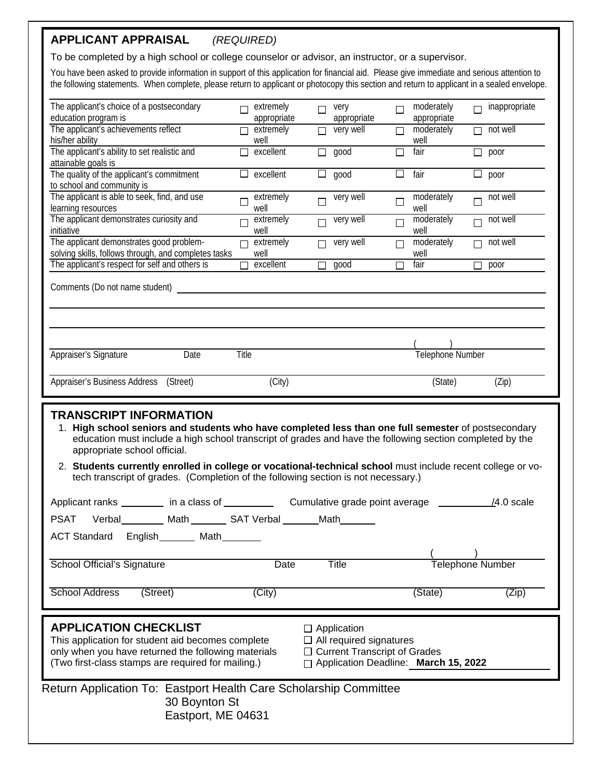## **APPLICANT APPRAISAL** *(REQUIRED)*

To be completed by a high school or college counselor or advisor, an instructor, or a supervisor.

You have been asked to provide information in support of this application for financial aid. Please give immediate and serious attention to the following statements. When complete, please return to applicant or photocopy this section and return to applicant in a sealed envelope.

| The applicant's choice of a postsecondary                                                                                                                                                                                                                                                  |                   | extremely         | П      |                     |                      | moderately              |   | inappropriate      |
|--------------------------------------------------------------------------------------------------------------------------------------------------------------------------------------------------------------------------------------------------------------------------------------------|-------------------|-------------------|--------|---------------------|----------------------|-------------------------|---|--------------------|
| education program is                                                                                                                                                                                                                                                                       | $\Box$            | appropriate       |        | very<br>appropriate | $\Box$               | appropriate             | П |                    |
| The applicant's achievements reflect<br>his/her ability                                                                                                                                                                                                                                    | $\Box$            | extremely<br>well |        | $\Box$ very well    | $\Box$               | moderately              |   | $\Box$ not well    |
| The applicant's ability to set realistic and<br>attainable goals is                                                                                                                                                                                                                        |                   | $\Box$ excellent  |        | $\Box$ good         | $\overline{\square}$ | well<br>fair            |   | $\Box$ poor        |
| The quality of the applicant's commitment<br>to school and community is                                                                                                                                                                                                                    |                   | $\Box$ excellent  |        | $\Box$ good         | □                    | fair                    |   | $\Box$ poor        |
| The applicant is able to seek, find, and use<br>learning resources                                                                                                                                                                                                                         | $\Box$            | extremely<br>well | $\Box$ | very well           | $\Box$               | moderately<br>well      |   | $\Box$ not well    |
| The applicant demonstrates curiosity and<br>initiative                                                                                                                                                                                                                                     | $\Box$            | extremely<br>well | $\Box$ | very well           | $\Box$               | moderately<br>well      |   | $\Box$ not well    |
| The applicant demonstrates good problem-<br>solving skills, follows through, and completes tasks                                                                                                                                                                                           | $\Box$            | extremely<br>well | $\Box$ | very well           | $\Box$               | moderately<br>well      |   | $\Box$ not well    |
| The applicant's respect for self and others is                                                                                                                                                                                                                                             | $\overline{\Box}$ | excellent         |        | $\Box$ good         | $\Box$               | fair                    |   | $\Box$ poor        |
| Appraiser's Signature<br>Date                                                                                                                                                                                                                                                              | Title             |                   |        |                     |                      | Telephone Number        |   |                    |
|                                                                                                                                                                                                                                                                                            |                   |                   |        |                     |                      |                         |   |                    |
| Appraiser's Business Address (Street)<br><b>TRANSCRIPT INFORMATION</b><br>1. High school seniors and students who have completed less than one full semester of postsecondary<br>education must include a high school transcript of grades and have the following section completed by the |                   | (City)            |        |                     |                      | (State)                 |   | (Zip)              |
| appropriate school official.<br>2. Students currently enrolled in college or vocational-technical school must include recent college or vo-<br>tech transcript of grades. (Completion of the following section is not necessary.)                                                          |                   |                   |        |                     |                      |                         |   |                    |
|                                                                                                                                                                                                                                                                                            |                   |                   |        |                     |                      |                         |   | $\angle 4.0$ scale |
|                                                                                                                                                                                                                                                                                            |                   |                   |        |                     |                      |                         |   |                    |
|                                                                                                                                                                                                                                                                                            |                   |                   |        |                     |                      |                         |   |                    |
| PSAT Verbal_________ Math________ SAT Verbal _______ Math_______<br>ACT Standard English_______ Math____<br>School Official's Signature                                                                                                                                                    |                   | Date              |        | <b>Title</b>        |                      | <b>Telephone Number</b> |   |                    |
| <b>School Address</b><br>(Street)                                                                                                                                                                                                                                                          |                   | (City)            |        |                     |                      | (State)                 |   | (Zip)              |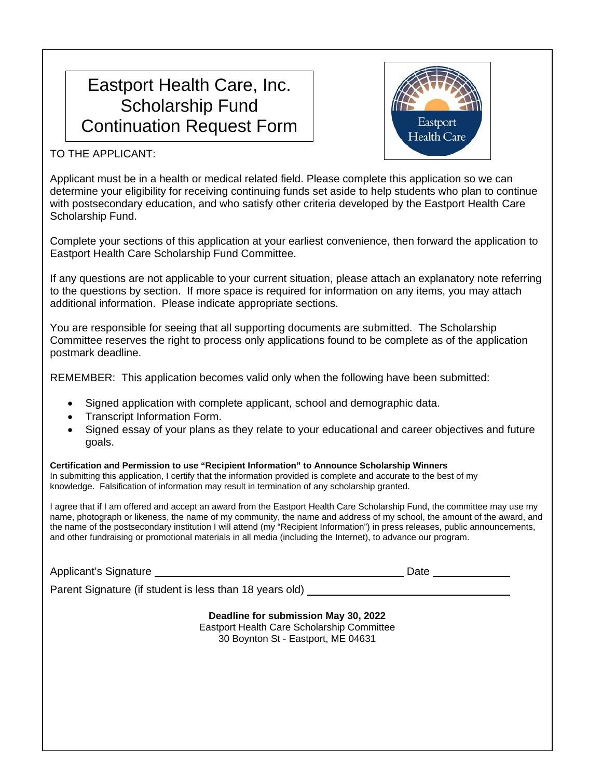# Eastport Health Care, Inc. Scholarship Fund Continuation Request Form



TO THE APPLICANT:

Applicant must be in a health or medical related field. Please complete this application so we can determine your eligibility for receiving continuing funds set aside to help students who plan to continue with postsecondary education, and who satisfy other criteria developed by the Eastport Health Care Scholarship Fund.

Complete your sections of this application at your earliest convenience, then forward the application to Eastport Health Care Scholarship Fund Committee.

If any questions are not applicable to your current situation, please attach an explanatory note referring to the questions by section. If more space is required for information on any items, you may attach additional information. Please indicate appropriate sections.

You are responsible for seeing that all supporting documents are submitted. The Scholarship Committee reserves the right to process only applications found to be complete as of the application postmark deadline.

REMEMBER: This application becomes valid only when the following have been submitted:

- Signed application with complete applicant, school and demographic data.
- Transcript Information Form.
- Signed essay of your plans as they relate to your educational and career objectives and future goals.

**Certification and Permission to use "Recipient Information" to Announce Scholarship Winners**  In submitting this application, I certify that the information provided is complete and accurate to the best of my knowledge. Falsification of information may result in termination of any scholarship granted.

I agree that if I am offered and accept an award from the Eastport Health Care Scholarship Fund, the committee may use my name, photograph or likeness, the name of my community, the name and address of my school, the amount of the award, and the name of the postsecondary institution I will attend (my "Recipient Information") in press releases, public announcements, and other fundraising or promotional materials in all media (including the Internet), to advance our program.

Applicant's Signature **Date** Applicant's Signature **Date** 

Parent Signature (if student is less than 18 years old)

**Deadline for submission May 30, 2022**  Eastport Health Care Scholarship Committee 30 Boynton St - Eastport, ME 04631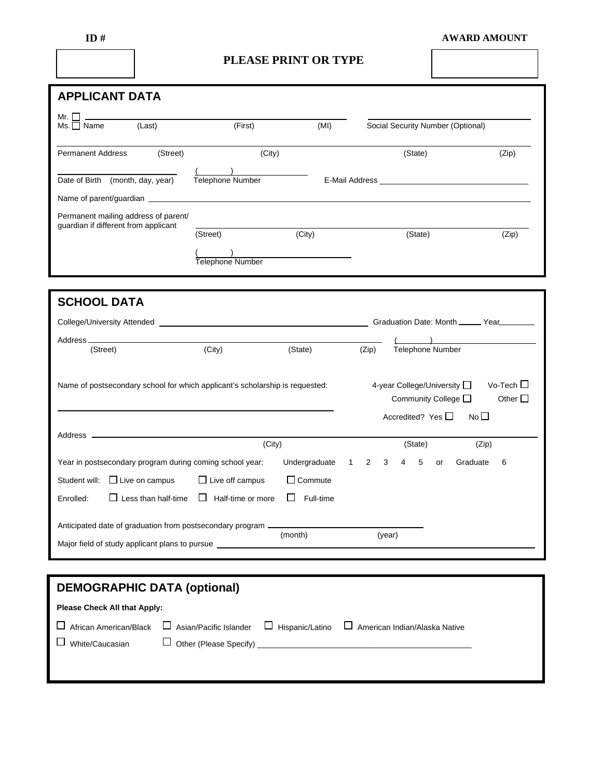|--|--|

### **AWARD AMOUNT**

## **PLEASE PRINT OR TYPE**

| <b>APPLICANT DATA</b>                                                                                                                                                                                                         |                              |                |              |        |   |                                                            |                                   |                                           |
|-------------------------------------------------------------------------------------------------------------------------------------------------------------------------------------------------------------------------------|------------------------------|----------------|--------------|--------|---|------------------------------------------------------------|-----------------------------------|-------------------------------------------|
| Mr. $\Box$                                                                                                                                                                                                                    |                              |                |              |        |   |                                                            |                                   |                                           |
| (Last)<br>$Ms. \Box$ Name                                                                                                                                                                                                     | (First)                      | (MI)           |              |        |   |                                                            | Social Security Number (Optional) |                                           |
| (Street)<br><b>Permanent Address</b>                                                                                                                                                                                          | (City)                       |                |              |        |   | (State)                                                    |                                   | (Zip)                                     |
| Date of Birth (month, day, year)                                                                                                                                                                                              | Telephone Number             |                |              |        |   |                                                            |                                   |                                           |
| Name of parent/guardian experience of the state of parent and the state of the state of the state of the state of the state of the state of the state of the state of the state of the state of the state of the state of the |                              |                |              |        |   |                                                            |                                   |                                           |
| Permanent mailing address of parent/<br>guardian if different from applicant                                                                                                                                                  |                              |                |              |        |   |                                                            |                                   |                                           |
|                                                                                                                                                                                                                               | (Street)                     | (City)         |              |        |   | (State)                                                    |                                   | (Zip)                                     |
|                                                                                                                                                                                                                               | Telephone Number             |                |              |        |   |                                                            |                                   |                                           |
|                                                                                                                                                                                                                               |                              |                |              |        |   |                                                            |                                   |                                           |
|                                                                                                                                                                                                                               |                              |                |              |        |   |                                                            |                                   |                                           |
| <b>SCHOOL DATA</b>                                                                                                                                                                                                            |                              |                |              |        |   |                                                            |                                   |                                           |
| College/University Attended Manual According to the College/University Attended                                                                                                                                               |                              |                |              |        |   |                                                            |                                   | Graduation Date: Month ______ Year_______ |
| Address ___________                                                                                                                                                                                                           |                              |                |              |        |   | Telephone Number                                           |                                   |                                           |
| (Street)                                                                                                                                                                                                                      | (City)                       | (State)        |              | (Zip)  |   |                                                            |                                   |                                           |
| Name of postsecondary school for which applicant's scholarship is requested:                                                                                                                                                  |                              |                |              |        |   | 4-year College/University □<br>Community College $\square$ |                                   | Vo-Tech $\Box$<br>Other $\square$         |
|                                                                                                                                                                                                                               |                              |                |              |        |   | Accredited? Yes $\Box$                                     | No <sub>1</sub>                   |                                           |
| the control of the control of the control of the control of the control of<br>Address -                                                                                                                                       |                              |                |              |        |   |                                                            |                                   |                                           |
|                                                                                                                                                                                                                               | (City)                       |                |              |        |   | (State)                                                    |                                   | (Zip)                                     |
| Year in postsecondary program during coming school year:                                                                                                                                                                      |                              | Undergraduate  | $\mathbf{1}$ | 2<br>3 | 4 | 5<br>or                                                    | Graduate                          | 6                                         |
| Student will: $\Box$ Live on campus                                                                                                                                                                                           | $\Box$ Live off campus       | $\Box$ Commute |              |        |   |                                                            |                                   |                                           |
| $\Box$ Less than half-time<br>Enrolled:                                                                                                                                                                                       | Half-time or more<br>$\perp$ | Full-time      |              |        |   |                                                            |                                   |                                           |
| Anticipated date of graduation from postsecondary program -                                                                                                                                                                   |                              |                |              |        |   |                                                            |                                   |                                           |
| Major field of study applicant plans to pursue _                                                                                                                                                                              |                              | (month)        |              | (year) |   |                                                            |                                   |                                           |
|                                                                                                                                                                                                                               |                              |                |              |        |   |                                                            |                                   |                                           |
|                                                                                                                                                                                                                               |                              |                |              |        |   |                                                            |                                   |                                           |
| <b>DEMOGRAPHIC DATA (optional)</b>                                                                                                                                                                                            |                              |                |              |        |   |                                                            |                                   |                                           |

| <b>Please Check All that Apply:</b> |  |                                                                                                                         |
|-------------------------------------|--|-------------------------------------------------------------------------------------------------------------------------|
|                                     |  | $\Box$ African American/Black $\Box$ Asian/Pacific Islander $\Box$ Hispanic/Latino $\Box$ American Indian/Alaska Native |
| $\Box$ White/Caucasian              |  |                                                                                                                         |
|                                     |  |                                                                                                                         |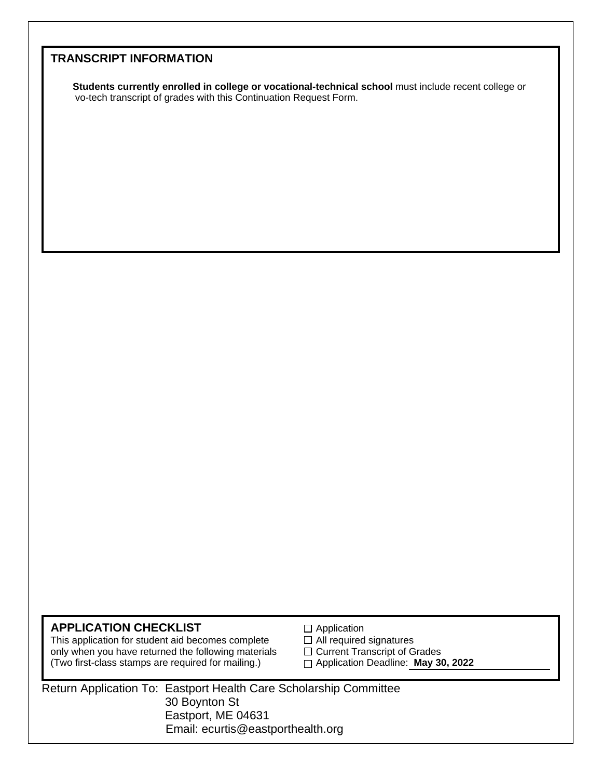## **TRANSCRIPT INFORMATION**

 **Students currently enrolled in college or vocational-technical school** must include recent college or vo-tech transcript of grades with this Continuation Request Form.

**APPLICATION CHECKLIST**  $\Box$  Application<br>
This application for student aid becomes complete  $\Box$  All required signatures This application for student aid becomes complete only when you have returned the following materials  $\square$  Current Transcript of Grades (Two first-class stamps are required for mailing.) Application Deadline: **May 30, 2022**

- 
- 
- 

 Return Application To: Eastport Health Care Scholarship Committee 30 Boynton St Eastport, ME 04631 Email: ecurtis@eastporthealth.org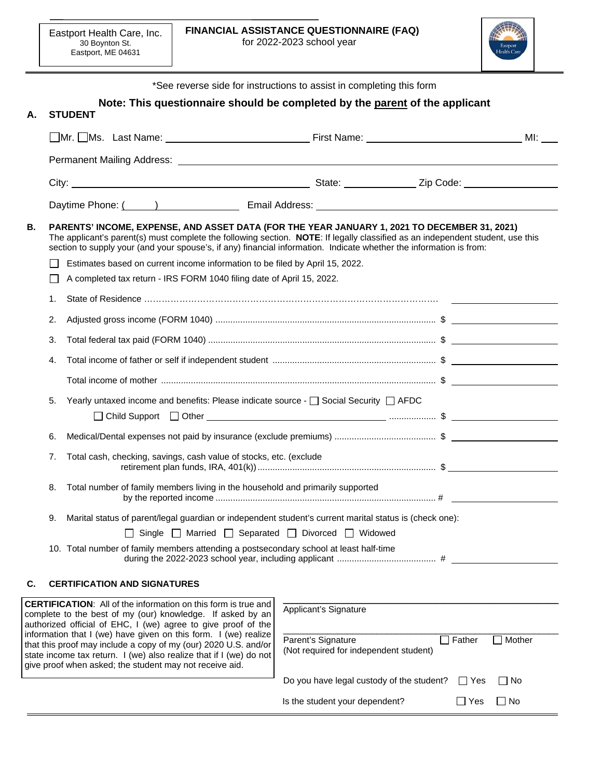$\overline{a}$ 



\*See reverse side for instructions to assist in completing this form **Note: This questionnaire should be completed by the parent of the applicant A. STUDENT OMr.** DMs. Last Name: <u>Name: Name: First Name: Name: Name: Name: Name: Name: Name: Name: Name: Name: Name: Name</u> Permanent Mailing Address: City: City: 2ip Code: 2ip Code: 2ip Code: 2ip Code: 2ip Code: 2ip Code: 2ip Code: 2ip Code: 2ip Code: 2ip Code: 2ip Code: 2ip Code: 2ip Code: 2ip Code: 2ip Code: 2ip Code: 2ip Code: 2ip Code: 2ip Code: 2ip Code: 2ip Code: Daytime Phone: ( ) The Research Semail Address: **B. PARENTS' INCOME, EXPENSE, AND ASSET DATA (FOR THE YEAR JANUARY 1, 2021 TO DECEMBER 31, 2021)** The applicant's parent(s) must complete the following section. **NOTE**: If legally classified as an independent student, use this section to supply your (and your spouse's, if any) financial information. Indicate whether the information is from:  $\Box$  Estimates based on current income information to be filed by April 15, 2022. A completed tax return - IRS FORM 1040 filing date of April 15, 2022. 1. State of Residence ………………………………………………………………………………………. 2. Adjusted gross income (FORM 1040) ......................................................................................... \$ 3. Total federal tax paid (FORM 1040) ............................................................................................ \$ 4. Total income of father or self if independent student .................................................................. \$ Total income of mother ............................................................................................................... \$ 5. Yearly untaxed income and benefits: Please indicate source -  $\square$  Social Security  $\square$  AFDC Child Support Other ................... \$ 6. Medical/Dental expenses not paid by insurance (exclude premiums) ......................................... \$ 7. Total cash, checking, savings, cash value of stocks, etc. (exclude retirement plan funds, IRA, 401(k)) ........................................................................ \$ 8. Total number of family members living in the household and primarily supported by the reported income ......................................................................................... # 9. Marital status of parent/legal guardian or independent student's current marital status is (check one):  $\Box$  Single  $\Box$  Married  $\Box$  Separated  $\Box$  Divorced  $\Box$  Widowed 10. Total number of family members attending a postsecondary school at least half-time during the 2022-2023 school year, including applicant ........................................ # **C. CERTIFICATION AND SIGNATURES** *\_\_\_\_\_\_\_\_\_\_\_\_\_\_\_\_\_\_\_\_\_\_\_\_\_\_\_\_\_\_\_\_\_\_\_\_\_\_\_\_\_\_\_\_\_\_\_\_\_\_\_\_\_\_\_\_* 

| <b>CERTIFICATION:</b> All of the information on this form is true and<br>complete to the best of my (our) knowledge. If asked by an<br>authorized official of EHC, I (we) agree to give proof of the<br>information that I (we) have given on this form. I (we) realize<br>that this proof may include a copy of my (our) 2020 U.S. and/or<br>state income tax return. I (we) also realize that if I (we) do not<br>give proof when asked; the student may not receive aid. | Applicant's Signature<br>Parent's Signature<br>(Not required for independent student) | ∩ Father   | Mother |
|-----------------------------------------------------------------------------------------------------------------------------------------------------------------------------------------------------------------------------------------------------------------------------------------------------------------------------------------------------------------------------------------------------------------------------------------------------------------------------|---------------------------------------------------------------------------------------|------------|--------|
|                                                                                                                                                                                                                                                                                                                                                                                                                                                                             | Do you have legal custody of the student?                                             | $\Box$ Yes | l INo  |
|                                                                                                                                                                                                                                                                                                                                                                                                                                                                             | Is the student your dependent?                                                        | l Yes      | l No   |